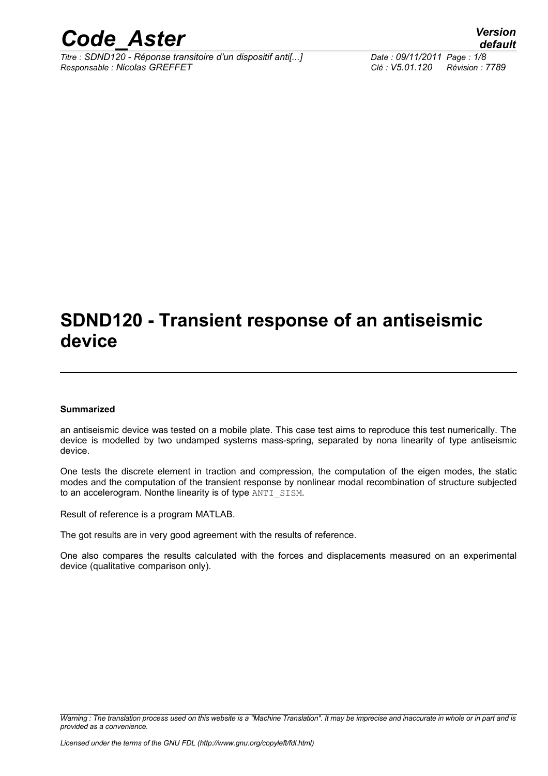

*Titre : SDND120 - Réponse transitoire d'un dispositif anti[...] Date : 09/11/2011 Page : 1/8 Responsable : Nicolas GREFFET Clé : V5.01.120 Révision : 7789*

*default*

## **SDND120 - Transient response of an antiseismic device**

#### **Summarized**

an antiseismic device was tested on a mobile plate. This case test aims to reproduce this test numerically. The device is modelled by two undamped systems mass-spring, separated by nona linearity of type antiseismic device.

One tests the discrete element in traction and compression, the computation of the eigen modes, the static modes and the computation of the transient response by nonlinear modal recombination of structure subjected to an accelerogram. Nonthe linearity is of type ANTI\_SISM.

Result of reference is a program MATLAB.

The got results are in very good agreement with the results of reference.

One also compares the results calculated with the forces and displacements measured on an experimental device (qualitative comparison only).

*Warning : The translation process used on this website is a "Machine Translation". It may be imprecise and inaccurate in whole or in part and is provided as a convenience.*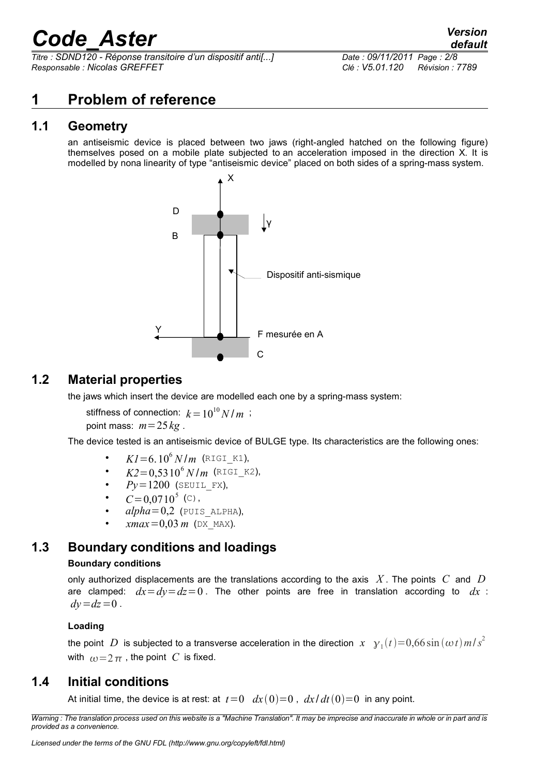*Titre : SDND120 - Réponse transitoire d'un dispositif anti[...] Date : 09/11/2011 Page : 2/8 Responsable : Nicolas GREFFET Clé : V5.01.120 Révision : 7789*

### **1 Problem of reference**

### **1.1 Geometry**

an antiseismic device is placed between two jaws (right-angled hatched on the following figure) themselves posed on a mobile plate subjected to an acceleration imposed in the direction X. It is modelled by nona linearity of type "antiseismic device" placed on both sides of a spring-mass system.



### **1.2 Material properties**

the jaws which insert the device are modelled each one by a spring-mass system:

stiffness of connection:  $k = 10^{10} N/m$ ; point mass:  $m=25$  kg.

The device tested is an antiseismic device of BULGE type. Its characteristics are the following ones:

- $KI = 6.10^6 \, N/m$  (RIGI\_K1),
- $K2 = 0.5310^6 N/m$  (RIGI\_K2),
- $Py = 1200$  (SEUIL FX),
- $C = 0.0710^5$  (c),
- $alpha=0.2$  (PUIS ALPHA),
- $xmax = 0.03 m$  (DX MAX).

### **1.3 Boundary conditions and loadings**

#### **Boundary conditions**

only authorized displacements are the translations according to the axis *X* . The points *C* and *D* are clamped:  $dx = dy = dz = 0$ . The other points are free in translation according to  $dx$ :  $dv = dz = 0$ .

#### **Loading**

the point  $|D|$  is subjected to a transverse acceleration in the direction  $| x - y_1(t) \!=\! 0,66\sin{(\omega t)}\,m/s^2$ with  $\omega = 2 \pi$ , the point *C* is fixed.

### **1.4 Initial conditions**

At initial time, the device is at rest: at  $t=0$   $dx(0)=0$ ,  $dx/dt(0)=0$  in any point.

*Warning : The translation process used on this website is a "Machine Translation". It may be imprecise and inaccurate in whole or in part and is provided as a convenience.*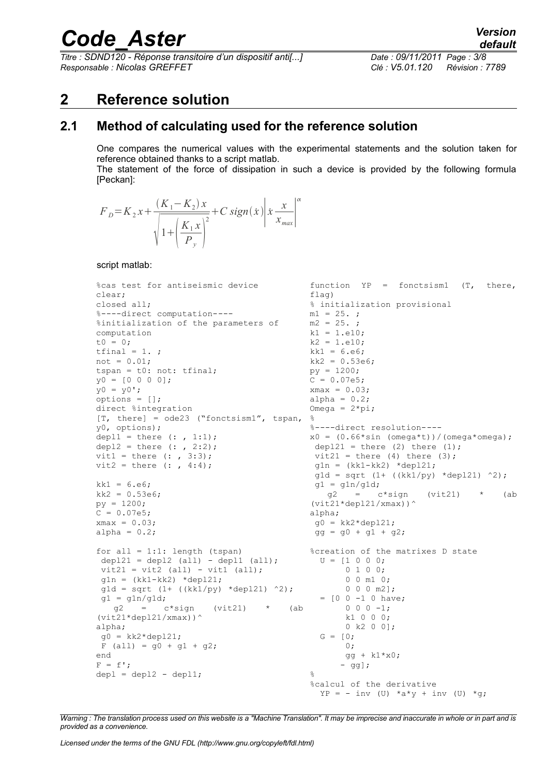*Titre : SDND120 - Réponse transitoire d'un dispositif anti[...] Date : 09/11/2011 Page : 3/8 Responsable : Nicolas GREFFET Clé : V5.01.120 Révision : 7789*

### **2 Reference solution**

### **2.1 Method of calculating used for the reference solution**

One compares the numerical values with the experimental statements and the solution taken for reference obtained thanks to a script matlab.

The statement of the force of dissipation in such a device is provided by the following formula [Peckan]:

$$
F_{D} = K_{2}x + \frac{(K_{1} - K_{2})x}{\sqrt{1 + (\frac{K_{1}x}{P_{y}})^{2}}} + C \text{ sign}(\dot{x}) \left| \dot{x} \frac{x}{x_{\text{max}}} \right|^{\alpha}
$$

script matlab:

```
%cas test for antiseismic device
clear;
closed all;
%----direct computation----
%initialization of the parameters of
computation
t0 = 0;tfinal = 1.;
not = 0.01;tspan = t0: not: tfinal; 
y0 = [0 0 0 0];
y0 = y0';
options = [];
direct %integration
[T, there] = ode23 ("fonctsism1", tspan,
%
y0, options);
depl1 = there (: , 1:1);
depl2 = there ( : , 2:2);vit1 = there (: , 3:3);
vit2 = there (: , 4:4);
kk1 = 6. e6;kk2 = 0.53e6;py = 1200;
C = 0.07e5;
xmax = 0.03;
alpha = 0.2;
for all = 1:1: length (tspan)
 depl21 = depl2 (all) - depl1 (all);vit21 = vit2 (all) - vit1 (all);
 g1n = (kk1 - kk2) *dep121;g1d = sqrt (1 + ((kk1/py) *dep121) ^2);gl = g1n/g1d;<br>g2 = cc*sign (vit21) * (ab
(vit21*depl21/xmax))^
alpha;
q0 = kk2*dep121;F (all) = g0 + g1 + g2;end
F = f';
depl = depl2 - depl1;function YP = fonctsism1 (T, there,
                                           flag)
                                          % initialization provisional
                                          m1 = 25.;
                                          m2 = 25.k1 = 1.e10;k2 = 1.e10;
                                          k1 = 6. e6;kk2 = 0.53e6;py = 1200;
                                          C = 0.07e5;xmax = 0.03;alpha = 0.2;
                                           Omega = 2*pi;
                                           %----direct resolution----
                                          x0 = (0.66*sin (omega*t))/(omega*omeqa);depl21 = there (2) there (1);
                                           vit21 = there (4) there (3);
                                           q1n = (kk1 - kk2) * dep121;g1d = sqrt (1 + ((kk1/py) *depl21) *2);gl = g1n/g1d;g2 = c*sign (vit21) * (ab
                                           (vit21*depth21/xmax))alpha;
                                           q0 = kk2*dep121;gg = g0 + g1 + g2;%creation of the matrixes D state
                                           U = [1 \ 0 \ 0 \ 0; 0 1 0 0;
                                                   0 0 m1 0;
                                                  0 0 0 m2];
                                             = [0 0 -1 0 \text{ have}:0 \t 0 \t -1; k1 0 0 0;
                                                  0 k2 0 0];
                                             G = [0; 0;
                                                 gg + k1*x0;
                                                  - gg];
                                           \mathfrak{L}%calcul of the derivative
                                             YP = - inv (U) *a*y + inv (U) *q;
```
*Warning : The translation process used on this website is a "Machine Translation". It may be imprecise and inaccurate in whole or in part and is provided as a convenience.*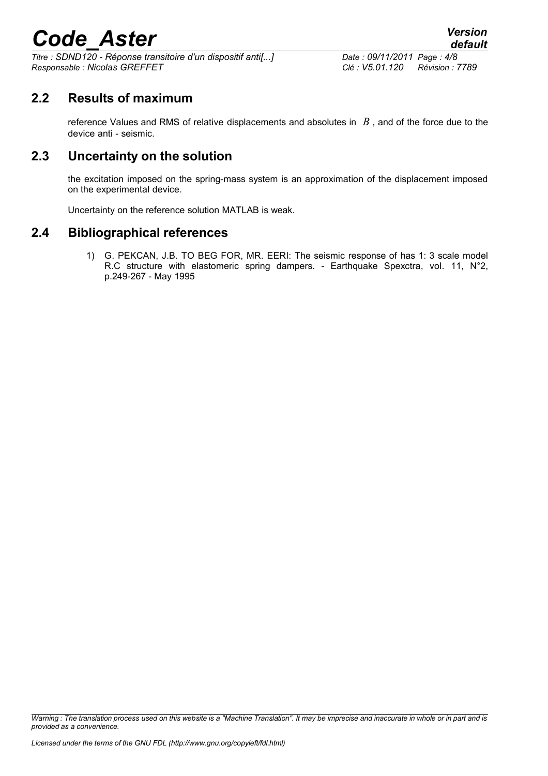*Titre : SDND120 - Réponse transitoire d'un dispositif anti[...] Date : 09/11/2011 Page : 4/8 Responsable : Nicolas GREFFET Clé : V5.01.120 Révision : 7789*

**2.2 Results of maximum**

reference Values and RMS of relative displacements and absolutes in *B* , and of the force due to the device anti - seismic.

### **2.3 Uncertainty on the solution**

the excitation imposed on the spring-mass system is an approximation of the displacement imposed on the experimental device.

Uncertainty on the reference solution MATLAB is weak.

### **2.4 Bibliographical references**

1) G. PEKCAN, J.B. TO BEG FOR, MR. EERI: The seismic response of has 1: 3 scale model R.C structure with elastomeric spring dampers. - Earthquake Spexctra, vol. 11, N°2, p.249-267 - May 1995

*Warning : The translation process used on this website is a "Machine Translation". It may be imprecise and inaccurate in whole or in part and is provided as a convenience.*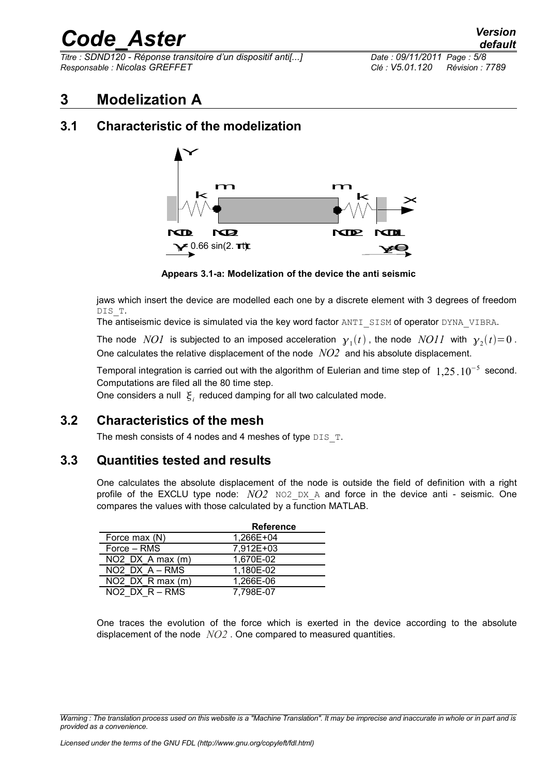*Titre : SDND120 - Réponse transitoire d'un dispositif anti[...] Date : 09/11/2011 Page : 5/8 Responsable : Nicolas GREFFET Clé : V5.01.120 Révision : 7789*

### **3 Modelization A**

### **3.1 Characteristic of the modelization**



**Appears 3.1-a: Modelization of the device the anti seismic**

jaws which insert the device are modelled each one by a discrete element with 3 degrees of freedom DIS\_T.

The antiseismic device is simulated via the key word factor ANTI SISM of operator DYNA VIBRA.

The node  $\; NOI \;$  is subjected to an imposed acceleration  $\; \mathbf{y}_{1}(t)$  , the node  $\; NOII \;$  with  $\; \mathbf{y}_{2}(t) \!=\! 0$  . One calculates the relative displacement of the node *NO2* and his absolute displacement.

Temporal integration is carried out with the algorithm of Eulerian and time step of  $1,25$   $10^{-5}$  second. Computations are filed all the 80 time step.

One considers a null  $\vert \xi_i \vert$  reduced damping for all two calculated mode.

### **3.2 Characteristics of the mesh**

The mesh consists of 4 nodes and 4 meshes of type  $DIS$  T.

#### **3.3 Quantities tested and results**

One calculates the absolute displacement of the node is outside the field of definition with a right profile of the EXCLU type node: *NO2* NO2 DX A and force in the device anti - seismic. One compares the values with those calculated by a function MATLAB.

|                      | <b>Reference</b> |
|----------------------|------------------|
| Force max (N)        | 1,266E+04        |
| Force – RMS          | 7,912E+03        |
| $NO2$ DX A max $(m)$ | 1,670E-02        |
| $NO2$ DX $A - RMS$   | 1,180E-02        |
| $NO2$ DX R max $(m)$ | 1.266E-06        |
| $NO2$ DX $R - RMS$   | 7,798E-07        |

One traces the evolution of the force which is exerted in the device according to the absolute displacement of the node *NO2* . One compared to measured quantities.

*Warning : The translation process used on this website is a "Machine Translation". It may be imprecise and inaccurate in whole or in part and is provided as a convenience.*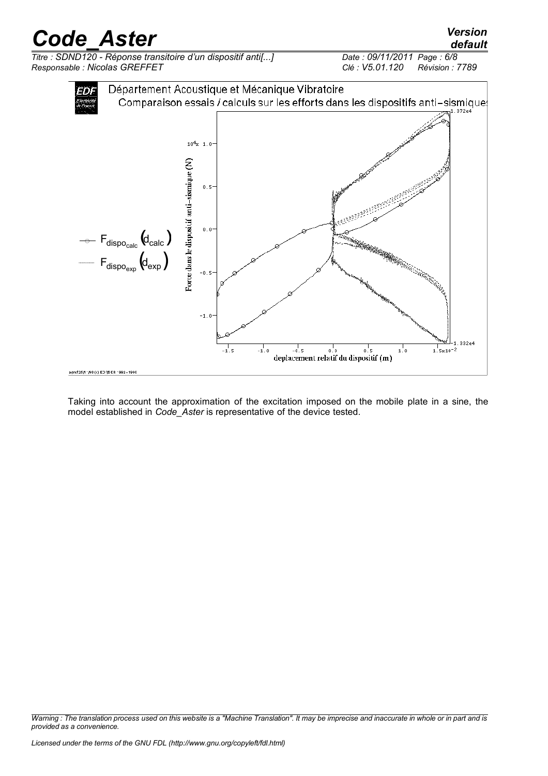*Titre : SDND120 - Réponse transitoire d'un dispositif anti[...] Date : 09/11/2011 Page : 6/8 Responsable : Nicolas GREFFET Clé : V5.01.120 Révision : 7789*





Taking into account the approximation of the excitation imposed on the mobile plate in a sine, the model established in *Code\_Aster* is representative of the device tested.

*Warning : The translation process used on this website is a "Machine Translation". It may be imprecise and inaccurate in whole or in part and is provided as a convenience.*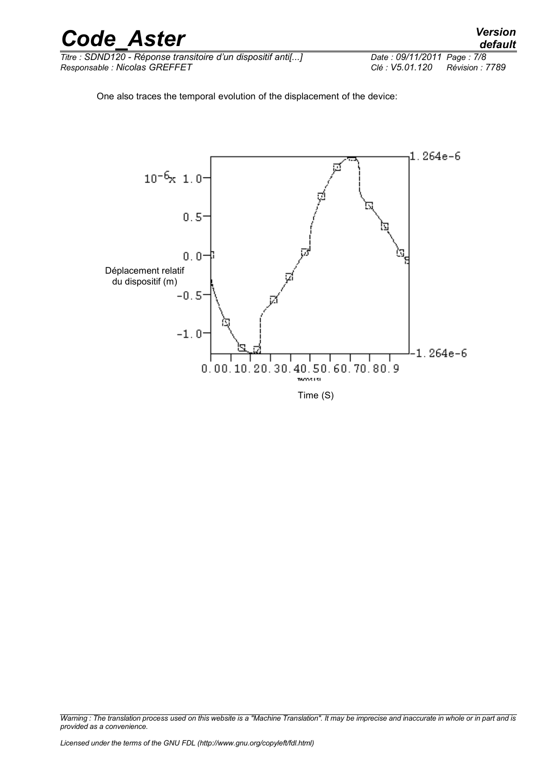

*Titre : SDND120 - Réponse transitoire d'un dispositif anti[...] Date : 09/11/2011 Page : 7/8 Responsable : Nicolas GREFFET Clé : V5.01.120 Révision : 7789*

One also traces the temporal evolution of the displacement of the device:



*Warning : The translation process used on this website is a "Machine Translation". It may be imprecise and inaccurate in whole or in part and is provided as a convenience.*